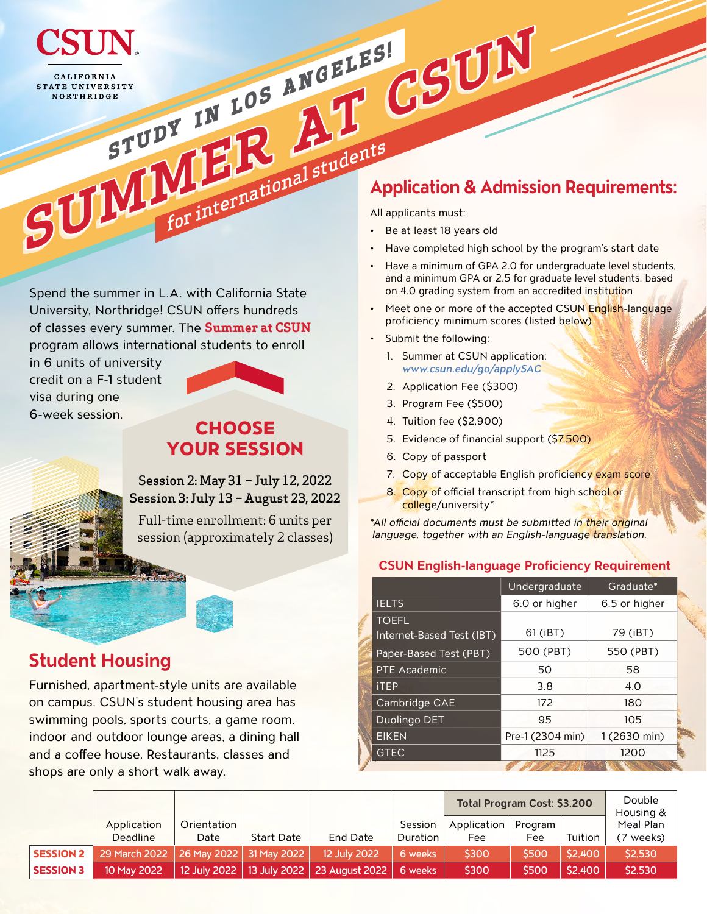

Spend the summer in L.A. with California State University, Northridge! CSUN offers hundreds of classes every summer. The **Summer at CSUN** program allows international students to enroll

in 6 units of university credit on a F-1 student visa during one 6-week session.

### **CHOOSE** YOUR SESSION

### Session 2: May 31 – July 12, 2022 Session 3: July 13 – August 23, 2022

Full-time enrollment: 6 units per session (approximately 2 classes)

## **Student Housing**

Furnished, apartment-style units are available on campus. CSUN's student housing area has swimming pools, sports courts, a game room, indoor and outdoor lounge areas, a dining hall and a coffee house. Restaurants, classes and shops are only a short walk away.

# **Application & Admission Requirements:**

All applicants must:

- Be at least 18 years old
- Have completed high school by the program's start date
- Have a minimum of GPA 2.0 for undergraduate level students, and a minimum GPA or 2.5 for graduate level students, based on 4.0 grading system from an accredited institution
- Meet one or more of the accepted CSUN English-language proficiency minimum scores (listed below)
- Submit the following:
	- 1. Summer at CSUN application: *[www.csun.edu/go/applySAC](http://www.csun.edu/go/applySAC)*
	- 2. Application Fee (\$300)
	- 3. Program Fee (\$500)
	- 4. Tuition fee (\$2,900)
	- 5. Evidence of financial support (\$7,500)
	- 6. Copy of passport
	- 7. Copy of acceptable English proficiency exam score
	- 8. Copy of official transcript from high school or college/university\*

*\*All official documents must be submitted in their original language, together with an English-language translation.*

### **CSUN English-language Proficiency Requirement**

|                           | Undergraduate    | Graduate*     |
|---------------------------|------------------|---------------|
| <b>IELTS</b>              | 6.0 or higher    | 6.5 or higher |
| <b>TOEFL</b>              |                  |               |
| Internet-Based Test (IBT) | 61 (iBT)         | 79 (iBT)      |
| Paper-Based Test (PBT)    | 500 (PBT)        | 550 (PBT)     |
| <b>PTE Academic</b>       | 50               | 58            |
| <b>iTEP</b>               | 3.8              | 4.0           |
| Cambridge CAE             | 172              | 180           |
| Duolingo DET              | 95               | 105           |
| <b>EIKEN</b>              | Pre-1 (2304 min) | 1 (2630 min)  |
| <b>GTEC</b>               | 1125             | 1200          |
|                           |                  |               |

|                  |                         |                           |            |                                              |                     | Total Program Cost: \$3,200 |                |         | Double<br>Housing &    |
|------------------|-------------------------|---------------------------|------------|----------------------------------------------|---------------------|-----------------------------|----------------|---------|------------------------|
|                  | Application<br>Deadline | Orientation<br>Date       | Start Date | End Date                                     | Session<br>Duration | Application<br>Fee          | Program<br>Fee | Tuition | Meal Plan<br>´7 weeks) |
| <b>SESSION 2</b> | 29 March 2022           | 26 May 2022   31 May 2022 |            | 12 July 2022                                 | 6 weeks             | \$300                       | \$500          | \$2,400 | \$2,530                |
| <b>SESSION 3</b> | 10 May 2022             |                           |            | 12 July 2022   13 July 2022   23 August 2022 | 6 weeks             | \$300                       | \$500          | \$2,400 | \$2,530                |